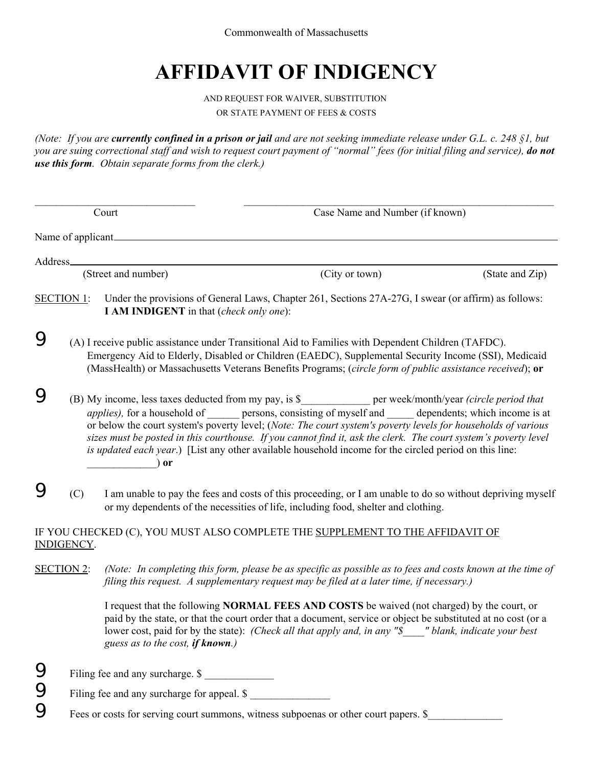Commonwealth of Massachusetts

## **AFFIDAVIT OF INDIGENCY**

## AND REQUEST FOR WAIVER, SUBSTITUTION OR STATE PAYMENT OF FEES & COSTS

*(Note: If you are currently confined in a prison or jail and are not seeking immediate release under G.L. c. 248 §1, but you are suing correctional staff and wish to request court payment of "normal" fees (for initial filing and service), do not use this form. Obtain separate forms from the clerk.)*

| Court    |                                                                                                                                                                                                                                                                                                                                                                                                                                                                                                                                                                                |                                                | Case Name and Number (if known)                                                                                                                                                                                                                                                                                                 |                 |  |
|----------|--------------------------------------------------------------------------------------------------------------------------------------------------------------------------------------------------------------------------------------------------------------------------------------------------------------------------------------------------------------------------------------------------------------------------------------------------------------------------------------------------------------------------------------------------------------------------------|------------------------------------------------|---------------------------------------------------------------------------------------------------------------------------------------------------------------------------------------------------------------------------------------------------------------------------------------------------------------------------------|-----------------|--|
|          | Name of applicant                                                                                                                                                                                                                                                                                                                                                                                                                                                                                                                                                              |                                                |                                                                                                                                                                                                                                                                                                                                 |                 |  |
| Address_ |                                                                                                                                                                                                                                                                                                                                                                                                                                                                                                                                                                                |                                                |                                                                                                                                                                                                                                                                                                                                 |                 |  |
|          |                                                                                                                                                                                                                                                                                                                                                                                                                                                                                                                                                                                | (Street and number)                            | (City or town)                                                                                                                                                                                                                                                                                                                  | (State and Zip) |  |
|          | <b>SECTION 1:</b>                                                                                                                                                                                                                                                                                                                                                                                                                                                                                                                                                              | <b>I AM INDIGENT</b> in that (check only one): | Under the provisions of General Laws, Chapter 261, Sections 27A-27G, I swear (or affirm) as follows:                                                                                                                                                                                                                            |                 |  |
| 9        | (A) I receive public assistance under Transitional Aid to Families with Dependent Children (TAFDC).<br>Emergency Aid to Elderly, Disabled or Children (EAEDC), Supplemental Security Income (SSI), Medicaid<br>(MassHealth) or Massachusetts Veterans Benefits Programs; (circle form of public assistance received); or                                                                                                                                                                                                                                                       |                                                |                                                                                                                                                                                                                                                                                                                                 |                 |  |
|          | (B) My income, less taxes deducted from my pay, is \$<br>per week/month/year <i>(circle period that</i> )<br><i>applies</i> ), for a household of persons, consisting of myself and dependents; which income is at<br>or below the court system's poverty level; (Note: The court system's poverty levels for households of various<br>sizes must be posted in this courthouse. If you cannot find it, ask the clerk. The court system's poverty level<br><i>is updated each year.</i> ) [List any other available household income for the circled period on this line:<br>or |                                                |                                                                                                                                                                                                                                                                                                                                 |                 |  |
|          | (C)                                                                                                                                                                                                                                                                                                                                                                                                                                                                                                                                                                            |                                                | I am unable to pay the fees and costs of this proceeding, or I am unable to do so without depriving myself<br>or my dependents of the necessities of life, including food, shelter and clothing.                                                                                                                                |                 |  |
|          | <b>INDIGENCY.</b>                                                                                                                                                                                                                                                                                                                                                                                                                                                                                                                                                              |                                                | IF YOU CHECKED (C), YOU MUST ALSO COMPLETE THE SUPPLEMENT TO THE AFFIDAVIT OF                                                                                                                                                                                                                                                   |                 |  |
|          | <b>SECTION 2:</b>                                                                                                                                                                                                                                                                                                                                                                                                                                                                                                                                                              |                                                | (Note: In completing this form, please be as specific as possible as to fees and costs known at the time of<br>filing this request. A supplementary request may be filed at a later time, if necessary.)                                                                                                                        |                 |  |
|          |                                                                                                                                                                                                                                                                                                                                                                                                                                                                                                                                                                                | guess as to the cost, if known.)               | I request that the following <b>NORMAL FEES AND COSTS</b> be waived (not charged) by the court, or<br>paid by the state, or that the court order that a document, service or object be substituted at no cost (or a<br>lower cost, paid for by the state): (Check all that apply and, in any "\$____" blank, indicate your best |                 |  |
| 9        |                                                                                                                                                                                                                                                                                                                                                                                                                                                                                                                                                                                | Filing fee and any surcharge. \$               |                                                                                                                                                                                                                                                                                                                                 |                 |  |
| 9        |                                                                                                                                                                                                                                                                                                                                                                                                                                                                                                                                                                                | Filing fee and any surcharge for appeal. \$    |                                                                                                                                                                                                                                                                                                                                 |                 |  |
| 9        |                                                                                                                                                                                                                                                                                                                                                                                                                                                                                                                                                                                |                                                | Fees or costs for serving court summons, witness subpoenas or other court papers. \$                                                                                                                                                                                                                                            |                 |  |